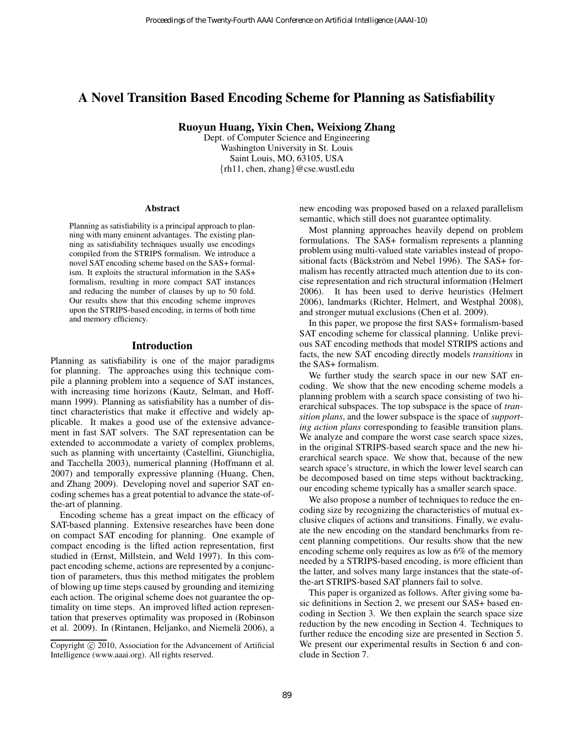# A Novel Transition Based Encoding Scheme for Planning as Satisfiability

Ruoyun Huang, Yixin Chen, Weixiong Zhang

Dept. of Computer Science and Engineering Washington University in St. Louis Saint Louis, MO, 63105, USA {rh11, chen, zhang}@cse.wustl.edu

#### Abstract

Planning as satisfiability is a principal approach to planning with many eminent advantages. The existing planning as satisfiability techniques usually use encodings compiled from the STRIPS formalism. We introduce a novel SAT encoding scheme based on the SAS+ formalism. It exploits the structural information in the SAS+ formalism, resulting in more compact SAT instances and reducing the number of clauses by up to 50 fold. Our results show that this encoding scheme improves upon the STRIPS-based encoding, in terms of both time and memory efficiency.

### Introduction

Planning as satisfiability is one of the major paradigms for planning. The approaches using this technique compile a planning problem into a sequence of SAT instances, with increasing time horizons (Kautz, Selman, and Hoffmann 1999). Planning as satisfiability has a number of distinct characteristics that make it effective and widely applicable. It makes a good use of the extensive advancement in fast SAT solvers. The SAT representation can be extended to accommodate a variety of complex problems, such as planning with uncertainty (Castellini, Giunchiglia, and Tacchella 2003), numerical planning (Hoffmann et al. 2007) and temporally expressive planning (Huang, Chen, and Zhang 2009). Developing novel and superior SAT encoding schemes has a great potential to advance the state-ofthe-art of planning. Proceedings of the Twenty-Fourth AAAI Conference on Artificial Intelligence (AAA-10)<br> **ABION DIE ACT Conference** on The Conference on The Conference on The Conference of the Twenty-Fourth Conference on Artificial Intellig

Encoding scheme has a great impact on the efficacy of SAT-based planning. Extensive researches have been done on compact SAT encoding for planning. One example of compact encoding is the lifted action representation, first studied in (Ernst, Millstein, and Weld 1997). In this compact encoding scheme, actions are represented by a conjunction of parameters, thus this method mitigates the problem of blowing up time steps caused by grounding and itemizing each action. The original scheme does not guarantee the optimality on time steps. An improved lifted action representation that preserves optimality was proposed in (Robinson et al. 2009). In (Rintanen, Heljanko, and Niemelä 2006), a new encoding was proposed based on a relaxed parallelism semantic, which still does not guarantee optimality.

Most planning approaches heavily depend on problem formulations. The SAS+ formalism represents a planning problem using multi-valued state variables instead of propositional facts (Bäckström and Nebel 1996). The SAS+ formalism has recently attracted much attention due to its concise representation and rich structural information (Helmert 2006). It has been used to derive heuristics (Helmert 2006), landmarks (Richter, Helmert, and Westphal 2008), and stronger mutual exclusions (Chen et al. 2009).

In this paper, we propose the first SAS+ formalism-based SAT encoding scheme for classical planning. Unlike previous SAT encoding methods that model STRIPS actions and facts, the new SAT encoding directly models *transitions* in the SAS+ formalism.

We further study the search space in our new SAT encoding. We show that the new encoding scheme models a planning problem with a search space consisting of two hierarchical subspaces. The top subspace is the space of *transition plans*, and the lower subspace is the space of *supporting action plans* corresponding to feasible transition plans. We analyze and compare the worst case search space sizes, in the original STRIPS-based search space and the new hierarchical search space. We show that, because of the new search space's structure, in which the lower level search can be decomposed based on time steps without backtracking, our encoding scheme typically has a smaller search space.

We also propose a number of techniques to reduce the encoding size by recognizing the characteristics of mutual exclusive cliques of actions and transitions. Finally, we evaluate the new encoding on the standard benchmarks from recent planning competitions. Our results show that the new encoding scheme only requires as low as 6% of the memory needed by a STRIPS-based encoding, is more efficient than the latter, and solves many large instances that the state-ofthe-art STRIPS-based SAT planners fail to solve.

This paper is organized as follows. After giving some basic definitions in Section 2, we present our SAS+ based encoding in Section 3. We then explain the search space size reduction by the new encoding in Section 4. Techniques to further reduce the encoding size are presented in Section 5. We present our experimental results in Section 6 and conclude in Section 7.

Copyright © 2010, Association for the Advancement of Artificial Intelligence (www.aaai.org). All rights reserved.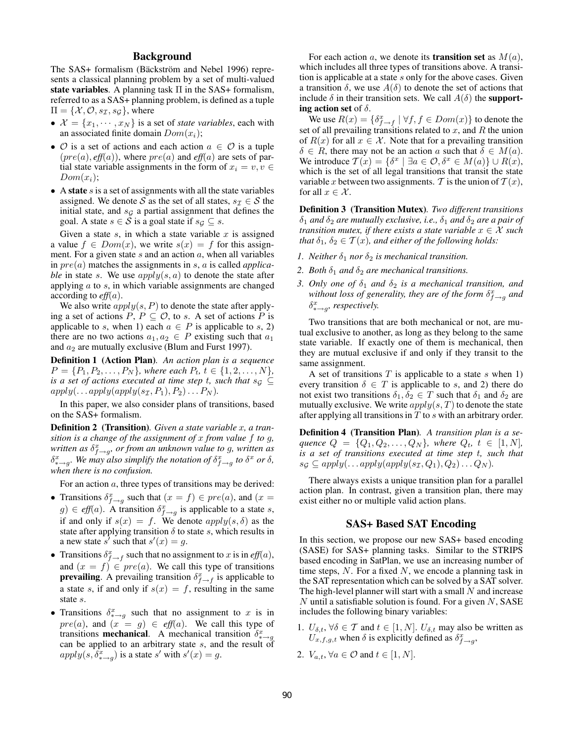# Background

The SAS+ formalism (Bäckström and Nebel 1996) represents a classical planning problem by a set of multi-valued state variables. A planning task  $\Pi$  in the SAS+ formalism, referred to as a SAS+ planning problem, is defined as a tuple  $\Pi = \{X, \mathcal{O}, s_{\mathcal{I}}, s_{\mathcal{G}}\}$ , where

- $\mathcal{X} = \{x_1, \dots, x_N\}$  is a set of *state variables*, each with an associated finite domain  $Dom(x_i)$ ;
- $\mathcal O$  is a set of actions and each action  $a \in \mathcal O$  is a tuple (pre(a), *eff*(a)), where pre(a) and *eff*(a) are sets of partial state variable assignments in the form of  $x_i = v, v \in$  $Dom(x_i);$
- A state  $s$  is a set of assignments with all the state variables assigned. We denote S as the set of all states,  $s_{\mathcal{I}} \in \mathcal{S}$  the initial state, and  $s<sub>G</sub>$  a partial assignment that defines the goal. A state  $s \in S$  is a goal state if  $s \in S$ .

Given a state  $s$ , in which a state variable  $x$  is assigned a value  $f \in Dom(x)$ , we write  $s(x) = f$  for this assignment. For a given state  $s$  and an action  $a$ , when all variables in pre(a) matches the assignments in s, a is called *applicable* in state s. We use  $apply(s, a)$  to denote the state after applying a to s, in which variable assignments are changed according to *eff*(a).

We also write  $apply(s, P)$  to denote the state after applying a set of actions  $P, P \subseteq \mathcal{O}$ , to s. A set of actions P is applicable to s, when 1) each  $a \in P$  is applicable to s, 2) there are no two actions  $a_1, a_2 \in P$  existing such that  $a_1$ and  $a_2$  are mutually exclusive (Blum and Furst 1997).

Definition 1 (Action Plan)*. An action plan is a sequence*  $P = \{P_1, P_2, \ldots, P_N\}$ *, where each*  $P_t, t \in \{1, 2, \ldots, N\}$ *, is a set of actions executed at time step t, such that*  $s_{\mathcal{G}} \subseteq$  $apply(...apply(apply(s<sub>\mathcal{I}</sub>, P<sub>1</sub>), P<sub>2</sub>)... P<sub>N</sub>).$ 

In this paper, we also consider plans of transitions, based on the SAS+ formalism.

Definition 2 (Transition)*. Given a state variable* x*, a transition is a change of the assignment of* x *from value* f *to* g*, written as*  $\delta_{f\rightarrow g}^{x}$ , or from an unknown value to g, written as  $\delta_{x\to g}^x$ . We may also simplify the notation of  $\delta_{f\to g}^x$  to  $\delta^x$  or  $\delta$ , *when there is no confusion.*

For an action  $a$ , three types of transitions may be derived:

- Transitions  $\delta_{f \to g}^x$  such that  $(x = f) \in pre(a)$ , and  $(x = f)$  $g \in \text{eff}(a)$ . A transition  $\delta_{f \to g}^x$  is applicable to a state s, if and only if  $s(x) = f$ . We denote  $apply(s, \delta)$  as the state after applying transition  $\delta$  to state s, which results in a new state s' such that  $s'(x) = g$ .
- Transitions  $\delta_{f \to f}^x$  such that no assignment to x is in  $\ell f\mathcal{H}(a)$ , and  $(x = f) \in pre(a)$ . We call this type of transitions **prevailing**. A prevailing transition  $\delta_{f \to f}^x$  is applicable to a state s, if and only if  $s(x) = f$ , resulting in the same state s.
- Transitions  $\delta_{x \to g}^x$  such that no assignment to x is in  $pre(a)$ , and  $(x = g) \in eff(a)$ . We call this type of transitions **mechanical**. A mechanical transition  $\delta_{* \to g}^x$  can be applied to an arbitrary state *s*, and the result of  $apply(s, \delta_{\ast \to g}^x)$  is a state s' with  $s'(x) = g$ .

For each action a, we denote its **transition set** as  $M(a)$ , which includes all three types of transitions above. A transition is applicable at a state  $s$  only for the above cases. Given a transition  $\delta$ , we use  $A(\delta)$  to denote the set of actions that include  $\delta$  in their transition sets. We call  $A(\delta)$  the **support**ing action set of  $\delta$ .

We use  $R(x) = \{ \delta_{f \to f}^x \mid \forall f, f \in Dom(x) \}$  to denote the set of all prevailing transitions related to x, and R the union of  $R(x)$  for all  $x \in \mathcal{X}$ . Note that for a prevailing transition  $\delta \in R$ , there may not be an action a such that  $\delta \in M(a)$ . We introduce  $\mathcal{T}(x) = \{\delta^x \mid \exists a \in \mathcal{O}, \delta^x \in M(a)\} \cup R(x)$ , which is the set of all legal transitions that transit the state variable x between two assignments. T is the union of  $T(x)$ , for all  $x \in \mathcal{X}$ .

Definition 3 (Transition Mutex)*. Two different transitions*  $\delta_1$  *and*  $\delta_2$  *are mutually exclusive, i.e.,*  $\delta_1$  *and*  $\delta_2$  *are a pair of transition mutex, if there exists a state variable*  $x \in \mathcal{X}$  *such that*  $\delta_1, \delta_2 \in \mathcal{T}(x)$ *, and either of the following holds:* 

- *1. Neither*  $\delta_1$  *nor*  $\delta_2$  *is mechanical transition.*
- 2. *Both*  $\delta_1$  *and*  $\delta_2$  *are mechanical transitions.*
- *3. Only one of*  $\delta_1$  *and*  $\delta_2$  *is a mechanical transition, and* without loss of generality, they are of the form  $\delta_{f\rightarrow g}^{x}$  and  $\delta_{* \rightarrow g}^{x}$ , respectively.

Two transitions that are both mechanical or not, are mutual exclusive to another, as long as they belong to the same state variable. If exactly one of them is mechanical, then they are mutual exclusive if and only if they transit to the same assignment.

A set of transitions  $T$  is applicable to a state  $s$  when 1) every transition  $\delta \in T$  is applicable to s, and 2) there do not exist two transitions  $\delta_1, \delta_2 \in T$  such that  $\delta_1$  and  $\delta_2$  are mutually exclusive. We write  $apply(s, T)$  to denote the state after applying all transitions in  $T$  to  $s$  with an arbitrary order.

Definition 4 (Transition Plan)*. A transition plan is a sequence*  $Q = \{Q_1, Q_2, \ldots, Q_N\}$ *, where*  $Q_t$ *,*  $t \in [1, N]$ *, is a set of transitions executed at time step* t*, such that*  $s_{\mathcal{G}} \subseteq apply(\ldots apply(\text{apply}(s_{\mathcal{I}}, Q_1), Q_2) \ldots Q_N).$ 

There always exists a unique transition plan for a parallel action plan. In contrast, given a transition plan, there may exist either no or multiple valid action plans.

#### SAS+ Based SAT Encoding

In this section, we propose our new SAS+ based encoding (SASE) for SAS+ planning tasks. Similar to the STRIPS based encoding in SatPlan, we use an increasing number of time steps,  $N$ . For a fixed  $N$ , we encode a planning task in the SAT representation which can be solved by a SAT solver. The high-level planner will start with a small  $N$  and increase  $N$  until a satisfiable solution is found. For a given  $N$ , SASE includes the following binary variables:

- 1.  $U_{\delta,t}$ ,  $\forall \delta \in \mathcal{T}$  and  $t \in [1, N]$ .  $U_{\delta,t}$  may also be written as  $U_{x,f,g,t}$  when  $\delta$  is explicitly defined as  $\delta_{f\rightarrow g}^x$ ,
- 2.  $V_{a,t}$ ,  $\forall a \in \mathcal{O}$  and  $t \in [1, N]$ .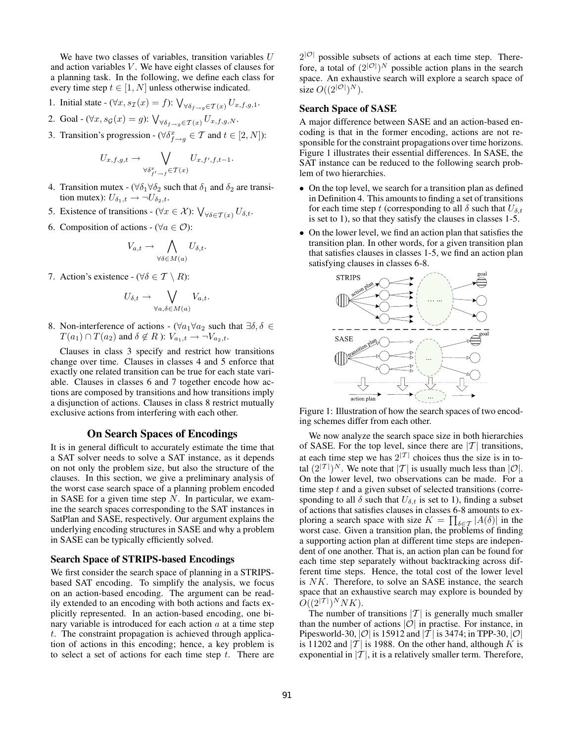We have two classes of variables, transition variables  $U$ and action variables  $V$ . We have eight classes of clauses for a planning task. In the following, we define each class for every time step  $t \in [1, N]$  unless otherwise indicated.

1. Initial state 
$$
-(\forall x, s_{\mathcal{I}}(x) = f)
$$
:  $\bigvee_{\forall \delta_{f \rightarrow g} \in \mathcal{T}(x)} U_{x, f, g, 1}$ .

2. Goal - 
$$
(\forall x, s_{\mathcal{G}}(x) = g)
$$
:  $\bigvee_{\forall \delta_{f \rightarrow g} \in \mathcal{T}(x)} U_{x, f, g, N}$ .

3. Transition's progression - ( $\forall \delta_{f \to g}^x \in \mathcal{T}$  and  $t \in [2, N]$ ):

$$
U_{x,f,g,t} \to \bigvee_{\forall \delta_{f'-f}^x \in \mathcal{T}(x)} U_{x,f',f,t-1}.
$$

- 4. Transition mutex ( $\forall \delta_1 \forall \delta_2$  such that  $\delta_1$  and  $\delta_2$  are transition mutex):  $U_{\delta_1,t} \to \neg U_{\delta_2,t}$ .
- 5. Existence of transitions ( $\forall x \in \mathcal{X}$ ):  $\bigvee_{\forall \delta \in \mathcal{T}(x)} U_{\delta,t}$ .
- 6. Composition of actions ( $\forall a \in \mathcal{O}$ ):

$$
V_{a,t} \to \bigwedge_{\forall \delta \in M(a)} U_{\delta,t}.
$$

7. Action's existence - ( $\forall \delta \in \mathcal{T} \setminus R$ ):

$$
U_{\delta,t} \to \bigvee_{\forall a,\delta \in M(a)} V_{a,t}.
$$

8. Non-interference of actions - ( $\forall a_1 \forall a_2$  such that  $\exists \delta, \delta \in$  $T(a_1) \cap T(a_2)$  and  $\delta \notin R$  ):  $V_{a_1,t} \to \neg V_{a_2,t}$ .

Clauses in class 3 specify and restrict how transitions change over time. Clauses in classes 4 and 5 enforce that exactly one related transition can be true for each state variable. Clauses in classes 6 and 7 together encode how actions are composed by transitions and how transitions imply a disjunction of actions. Clauses in class 8 restrict mutually exclusive actions from interfering with each other.

#### On Search Spaces of Encodings

It is in general difficult to accurately estimate the time that a SAT solver needs to solve a SAT instance, as it depends on not only the problem size, but also the structure of the clauses. In this section, we give a preliminary analysis of the worst case search space of a planning problem encoded in SASE for a given time step  $N$ . In particular, we examine the search spaces corresponding to the SAT instances in SatPlan and SASE, respectively. Our argument explains the underlying encoding structures in SASE and why a problem in SASE can be typically efficiently solved.

#### Search Space of STRIPS-based Encodings

We first consider the search space of planning in a STRIPSbased SAT encoding. To simplify the analysis, we focus on an action-based encoding. The argument can be readily extended to an encoding with both actions and facts explicitly represented. In an action-based encoding, one binary variable is introduced for each action  $a$  at a time step t. The constraint propagation is achieved through application of actions in this encoding; hence, a key problem is to select a set of actions for each time step  $t$ . There are

 $2^{|O|}$  possible subsets of actions at each time step. Therefore, a total of  $(2^{|O|})^N$  possible action plans in the search space. An exhaustive search will explore a search space of size  $O((2^{|O|})^N)$ .

### Search Space of SASE

A major difference between SASE and an action-based encoding is that in the former encoding, actions are not responsible for the constraint propagations over time horizons. Figure 1 illustrates their essential differences. In SASE, the SAT instance can be reduced to the following search problem of two hierarchies.

- On the top level, we search for a transition plan as defined in Definition 4. This amounts to finding a set of transitions for each time step t (corresponding to all  $\delta$  such that  $U_{\delta,t}$ is set to 1), so that they satisfy the clauses in classes 1-5.
- On the lower level, we find an action plan that satisfies the transition plan. In other words, for a given transition plan that satisfies clauses in classes 1-5, we find an action plan satisfying clauses in classes 6-8.



Figure 1: Illustration of how the search spaces of two encoding schemes differ from each other.

We now analyze the search space size in both hierarchies of SASE. For the top level, since there are  $|T|$  transitions, at each time step we has  $2^{|T|}$  choices thus the size is in total  $(2^{|{\mathcal{T}}|})^N$ . We note that  $|{\mathcal{T}}|$  is usually much less than  $|{\mathcal{O}}|$ . On the lower level, two observations can be made. For a time step  $t$  and a given subset of selected transitions (corresponding to all  $\delta$  such that  $U_{\delta,t}$  is set to 1), finding a subset of actions that satisfies clauses in classes 6-8 amounts to exploring a search space with size  $K = \prod_{\delta \in \mathcal{T}} |A(\delta)|$  in the worst case. Given a transition plan, the problems of finding a supporting action plan at different time steps are independent of one another. That is, an action plan can be found for each time step separately without backtracking across different time steps. Hence, the total cost of the lower level is NK. Therefore, to solve an SASE instance, the search space that an exhaustive search may explore is bounded by  $O((2^{|{\mathcal T}|})^NNK).$ 

The number of transitions  $|T|$  is generally much smaller than the number of actions  $|O|$  in practise. For instance, in Pipesworld-30,  $|O|$  is 15912 and  $|T|$  is 3474; in TPP-30,  $|O|$ is 11202 and  $|T|$  is 1988. On the other hand, although K is exponential in  $|T|$ , it is a relatively smaller term. Therefore,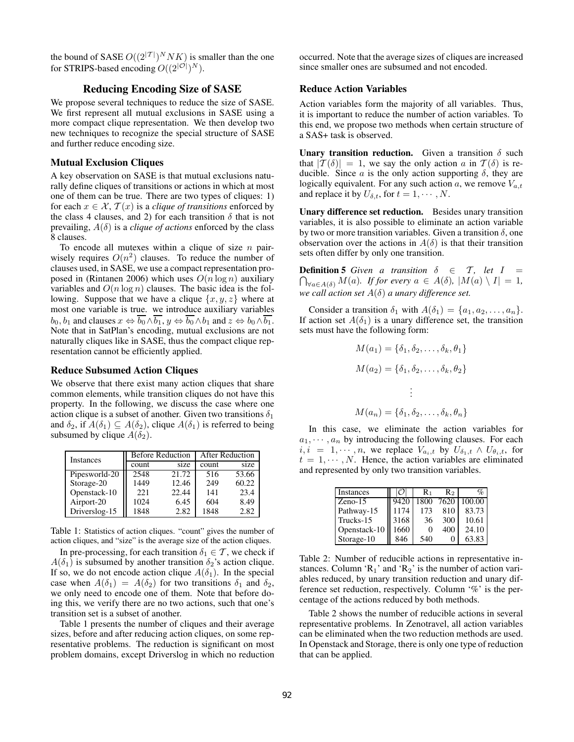the bound of SASE  $O((2^{|{\mathcal{T}}|})^N N K)$  is smaller than the one for STRIPS-based encoding  $O((2^{|O|})^N)$ .

### Reducing Encoding Size of SASE

We propose several techniques to reduce the size of SASE. We first represent all mutual exclusions in SASE using a more compact clique representation. We then develop two new techniques to recognize the special structure of SASE and further reduce encoding size.

#### Mutual Exclusion Cliques

A key observation on SASE is that mutual exclusions naturally define cliques of transitions or actions in which at most one of them can be true. There are two types of cliques: 1) for each  $x \in \mathcal{X}, \mathcal{T}(x)$  is a *clique of transitions* enforced by the class 4 clauses, and 2) for each transition  $\delta$  that is not prevailing,  $A(\delta)$  is a *clique of actions* enforced by the class 8 clauses.

To encode all mutexes within a clique of size  $n$  pairwisely requires  $O(n^2)$  clauses. To reduce the number of clauses used, in SASE, we use a compact representation proposed in (Rintanen 2006) which uses  $O(n \log n)$  auxiliary variables and  $O(n \log n)$  clauses. The basic idea is the following. Suppose that we have a clique  $\{x, y, z\}$  where at most one variable is true. we introduce auxiliary variables  $b_0$ ,  $b_1$  and clauses  $x \Leftrightarrow \overline{b_0} \wedge \overline{b_1}$ ,  $y \Leftrightarrow \overline{b_0} \wedge b_1$  and  $z \Leftrightarrow b_0 \wedge \overline{b_1}$ . Note that in SatPlan's encoding, mutual exclusions are not naturally cliques like in SASE, thus the compact clique representation cannot be efficiently applied.

#### Reduce Subsumed Action Cliques

We observe that there exist many action cliques that share common elements, while transition cliques do not have this property. In the following, we discuss the case where one action clique is a subset of another. Given two transitions  $\delta_1$ and  $\delta_2$ , if  $A(\delta_1) \subseteq A(\delta_2)$ , clique  $A(\delta_1)$  is referred to being subsumed by clique  $A(\delta_2)$ .

| <b>Instances</b> |       | <b>Before Reduction</b> | After Reduction |       |  |  |
|------------------|-------|-------------------------|-----------------|-------|--|--|
|                  | count | size                    | count           | size  |  |  |
| Pipesworld-20    | 2548  | 21.72                   | 516             | 53.66 |  |  |
| Storage-20       | 1449  | 12.46                   | 249             | 60.22 |  |  |
| Openstack-10     | 221   | 22.44                   | 141             | 23.4  |  |  |
| Airport-20       | 1024  | 6.45                    | 604             | 8.49  |  |  |
| Driverslog-15    | 1848  | 2.82                    | 1848            | 2.82  |  |  |

Table 1: Statistics of action cliques. "count" gives the number of action cliques, and "size" is the average size of the action cliques.

In pre-processing, for each transition  $\delta_1 \in \mathcal{T}$ , we check if  $A(\delta_1)$  is subsumed by another transition  $\delta_2$ 's action clique. If so, we do not encode action clique  $A(\delta_1)$ . In the special case when  $A(\delta_1) = A(\delta_2)$  for two transitions  $\delta_1$  and  $\delta_2$ , we only need to encode one of them. Note that before doing this, we verify there are no two actions, such that one's transition set is a subset of another.

Table 1 presents the number of cliques and their average sizes, before and after reducing action cliques, on some representative problems. The reduction is significant on most problem domains, except Driverslog in which no reduction occurred. Note that the average sizes of cliques are increased since smaller ones are subsumed and not encoded.

### Reduce Action Variables

Action variables form the majority of all variables. Thus, it is important to reduce the number of action variables. To this end, we propose two methods when certain structure of a SAS+ task is observed.

Unary transition reduction. Given a transition  $\delta$  such that  $|\mathcal{T}(\delta)| = 1$ , we say the only action a in  $\mathcal{T}(\delta)$  is reducible. Since  $\alpha$  is the only action supporting  $\delta$ , they are logically equivalent. For any such action a, we remove  $V_{a,t}$ and replace it by  $U_{\delta,t}$ , for  $t = 1, \dots, N$ .

Unary difference set reduction. Besides unary transition variables, it is also possible to eliminate an action variable by two or more transition variables. Given a transition  $\delta$ , one observation over the actions in  $A(\delta)$  is that their transition sets often differ by only one transition.

**Definition 5** Given a transition  $\delta \in \mathcal{T}$ , let  $I =$  $\bigcap_{\forall a \in A(\delta)} M(a)$ *. If for every*  $a \in A(\delta)$ *,*  $|M(a) \setminus I| = 1$ *, we call action set* A(δ) *a unary difference set.*

Consider a transition  $\delta_1$  with  $A(\delta_1) = \{a_1, a_2, \ldots, a_n\}.$ If action set  $A(\delta_1)$  is a unary difference set, the transition sets must have the following form:

$$
M(a_1) = \{\delta_1, \delta_2, \dots, \delta_k, \theta_1\}
$$

$$
M(a_2) = \{\delta_1, \delta_2, \dots, \delta_k, \theta_2\}
$$

$$
\vdots
$$

$$
M(a_n) = \{\delta_1, \delta_2, \dots, \delta_k, \theta_n\}
$$

In this case, we eliminate the action variables for  $a_1, \dots, a_n$  by introducing the following clauses. For each  $i, i = 1, \dots, n$ , we replace  $V_{a_i,t}$  by  $U_{\delta_1,t} \wedge U_{\theta_i,t}$ , for  $t = 1, \dots, N$ . Hence, the action variables are eliminated and represented by only two transition variables.

| Instances    |      | R۱   | R2   |        |
|--------------|------|------|------|--------|
| $Zeno-15$    | 9420 | 1800 | 7620 | 100.00 |
| Pathway-15   | 1174 | 173  | 810  | 83.73  |
| Trucks-15    | 3168 | 36   | 300  | 10.61  |
| Openstack-10 | 1660 |      | 400  | 24.10  |
| Storage-10   | 846  | 540  |      | 63.83  |

Table 2: Number of reducible actions in representative instances. Column 'R<sub>1</sub>' and 'R<sub>2</sub>' is the number of action variables reduced, by unary transition reduction and unary difference set reduction, respectively. Column '%' is the percentage of the actions reduced by both methods.

Table 2 shows the number of reducible actions in several representative problems. In Zenotravel, all action variables can be eliminated when the two reduction methods are used. In Openstack and Storage, there is only one type of reduction that can be applied.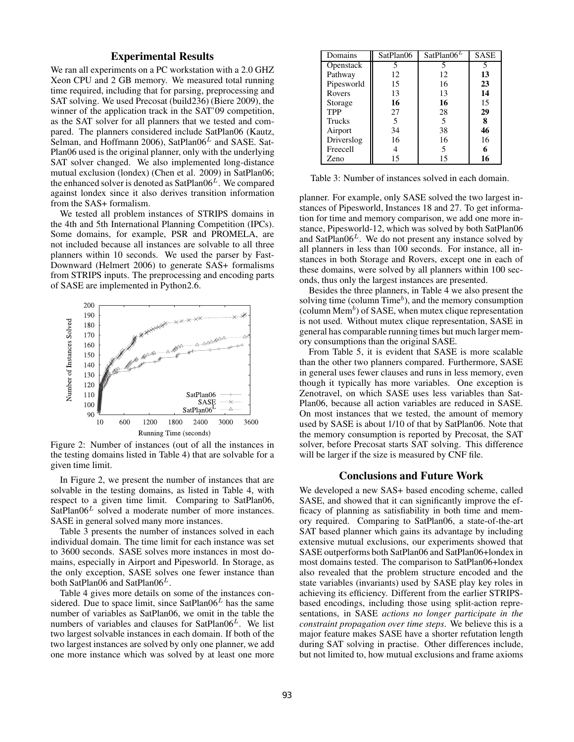# Experimental Results

We ran all experiments on a PC workstation with a 2.0 GHZ Xeon CPU and 2 GB memory. We measured total running time required, including that for parsing, preprocessing and SAT solving. We used Precosat (build236) (Biere 2009), the winner of the application track in the SAT'09 competition, as the SAT solver for all planners that we tested and compared. The planners considered include SatPlan06 (Kautz, Selman, and Hoffmann 2006), SatPlan06<sup>L</sup> and SASE. Sat-Plan06 used is the original planner, only with the underlying SAT solver changed. We also implemented long-distance mutual exclusion (londex) (Chen et al. 2009) in SatPlan06; the enhanced solver is denoted as  $SatPlan06<sup>L</sup>$ . We compared against londex since it also derives transition information from the SAS+ formalism.

We tested all problem instances of STRIPS domains in the 4th and 5th International Planning Competition (IPCs). Some domains, for example, PSR and PROMELA, are not included because all instances are solvable to all three planners within 10 seconds. We used the parser by Fast-Downward (Helmert 2006) to generate SAS+ formalisms from STRIPS inputs. The preprocessing and encoding parts of SASE are implemented in Python2.6.



Figure 2: Number of instances (out of all the instances in the testing domains listed in Table 4) that are solvable for a given time limit.

In Figure 2, we present the number of instances that are solvable in the testing domains, as listed in Table 4, with respect to a given time limit. Comparing to SatPlan06,  $SatPlan06<sup>L</sup>$  solved a moderate number of more instances. SASE in general solved many more instances.

Table 3 presents the number of instances solved in each individual domain. The time limit for each instance was set to 3600 seconds. SASE solves more instances in most domains, especially in Airport and Pipesworld. In Storage, as the only exception, SASE solves one fewer instance than both SatPlan06 and SatPlan06<sup>L</sup>.

Table 4 gives more details on some of the instances considered. Due to space limit, since  $SatPlanO6<sup>L</sup>$  has the same number of variables as SatPlan06, we omit in the table the numbers of variables and clauses for  $SatPlan06<sup>L</sup>$ . We list two largest solvable instances in each domain. If both of the two largest instances are solved by only one planner, we add one more instance which was solved by at least one more

| Domains    | SatPlan06 | SatPlan06 <sup>L</sup> | <b>SASE</b> |
|------------|-----------|------------------------|-------------|
| Openstack  |           |                        | 5           |
| Pathway    | 12        | 12                     | 13          |
| Pipesworld | 15        | 16                     | 23          |
| Rovers     | 13        | 13                     | 14          |
| Storage    | 16        | 16                     | 15          |
| <b>TPP</b> | 27        | 28                     | 29          |
| Trucks     | 5         | 5                      | 8           |
| Airport    | 34        | 38                     | 46          |
| Driverslog | 16        | 16                     | 16          |
| Freecell   |           | 5                      | 6           |
| Zeno       | 15        | 15                     | 16          |

Table 3: Number of instances solved in each domain.

planner. For example, only SASE solved the two largest instances of Pipesworld, Instances 18 and 27. To get information for time and memory comparison, we add one more instance, Pipesworld-12, which was solved by both SatPlan06 and SatPlan $06<sup>L</sup>$ . We do not present any instance solved by all planners in less than 100 seconds. For instance, all instances in both Storage and Rovers, except one in each of these domains, were solved by all planners within 100 seconds, thus only the largest instances are presented.

Besides the three planners, in Table 4 we also present the solving time (column  $Time<sup>b</sup>$ ), and the memory consumption (column Mem $<sup>b</sup>$ ) of SASE, when mutex clique representation</sup> is not used. Without mutex clique representation, SASE in general has comparable running times but much larger memory consumptions than the original SASE.

From Table 5, it is evident that SASE is more scalable than the other two planners compared. Furthermore, SASE in general uses fewer clauses and runs in less memory, even though it typically has more variables. One exception is Zenotravel, on which SASE uses less variables than Sat-Plan06, because all action variables are reduced in SASE. On most instances that we tested, the amount of memory used by SASE is about 1/10 of that by SatPlan06. Note that the memory consumption is reported by Precosat, the SAT solver, before Precosat starts SAT solving. This difference will be larger if the size is measured by CNF file.

### Conclusions and Future Work

We developed a new SAS+ based encoding scheme, called SASE, and showed that it can significantly improve the efficacy of planning as satisfiability in both time and memory required. Comparing to SatPlan06, a state-of-the-art SAT based planner which gains its advantage by including extensive mutual exclusions, our experiments showed that SASE outperforms both SatPlan06 and SatPlan06+londex in most domains tested. The comparison to SatPlan06+londex also revealed that the problem structure encoded and the state variables (invariants) used by SASE play key roles in achieving its efficiency. Different from the earlier STRIPSbased encodings, including those using split-action representations, in SASE *actions no longer participate in the constraint propagation over time steps*. We believe this is a major feature makes SASE have a shorter refutation length during SAT solving in practise. Other differences include, but not limited to, how mutual exclusions and frame axioms